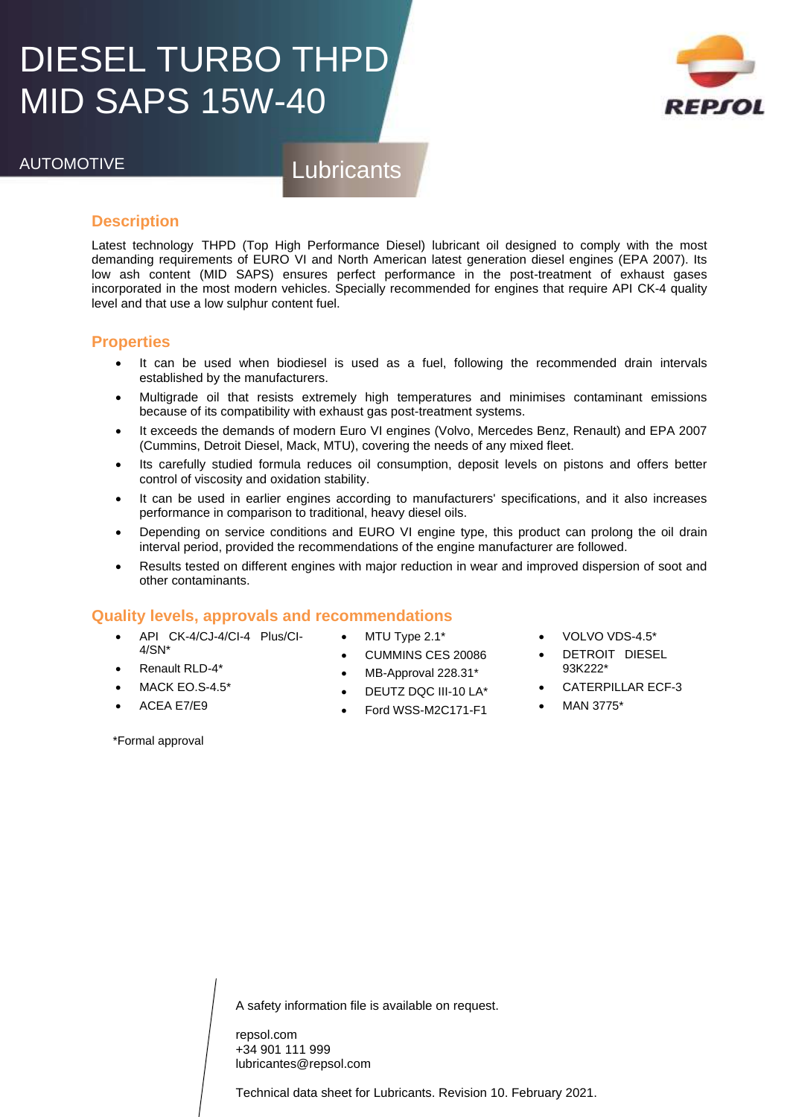# DIESEL TURBO THPD MID SAPS 15W-40



AUTOMOTIVE Lubricants

### **Description**

Latest technology THPD (Top High Performance Diesel) lubricant oil designed to comply with the most demanding requirements of EURO VI and North American latest generation diesel engines (EPA 2007). Its low ash content (MID SAPS) ensures perfect performance in the post-treatment of exhaust gases incorporated in the most modern vehicles. Specially recommended for engines that require API CK-4 quality level and that use a low sulphur content fuel.

### **Properties**

- It can be used when biodiesel is used as a fuel, following the recommended drain intervals established by the manufacturers.
- Multigrade oil that resists extremely high temperatures and minimises contaminant emissions because of its compatibility with exhaust gas post-treatment systems.
- It exceeds the demands of modern Euro VI engines (Volvo, Mercedes Benz, Renault) and EPA 2007 (Cummins, Detroit Diesel, Mack, MTU), covering the needs of any mixed fleet.
- Its carefully studied formula reduces oil consumption, deposit levels on pistons and offers better control of viscosity and oxidation stability.
- It can be used in earlier engines according to manufacturers' specifications, and it also increases performance in comparison to traditional, heavy diesel oils.
- Depending on service conditions and EURO VI engine type, this product can prolong the oil drain interval period, provided the recommendations of the engine manufacturer are followed.
- Results tested on different engines with major reduction in wear and improved dispersion of soot and other contaminants.

## **Quality levels, approvals and recommendations**

- API CK-4/CJ-4/CI-4 Plus/CI- $4/SN^*$
- Renault RLD-4\*
- MACK EO.S-4.5\*
- ACEA E7/E9
- MTU Type 2.1\* • CUMMINS CES 20086
- MB-Approval 228.31\*
- DEUTZ DQC III-10 LA\*
- Ford WSS-M2C171-F1
- VOLVO VDS-4.5\*
- DETROIT DIESEL 93K222\*
- CATERPILLAR ECF-3
- MAN 3775\*

\*Formal approval

A safety information file is available on request.

repsol.com +34 901 111 999 lubricantes@repsol.com

Technical data sheet for Lubricants. Revision 10. February 2021.